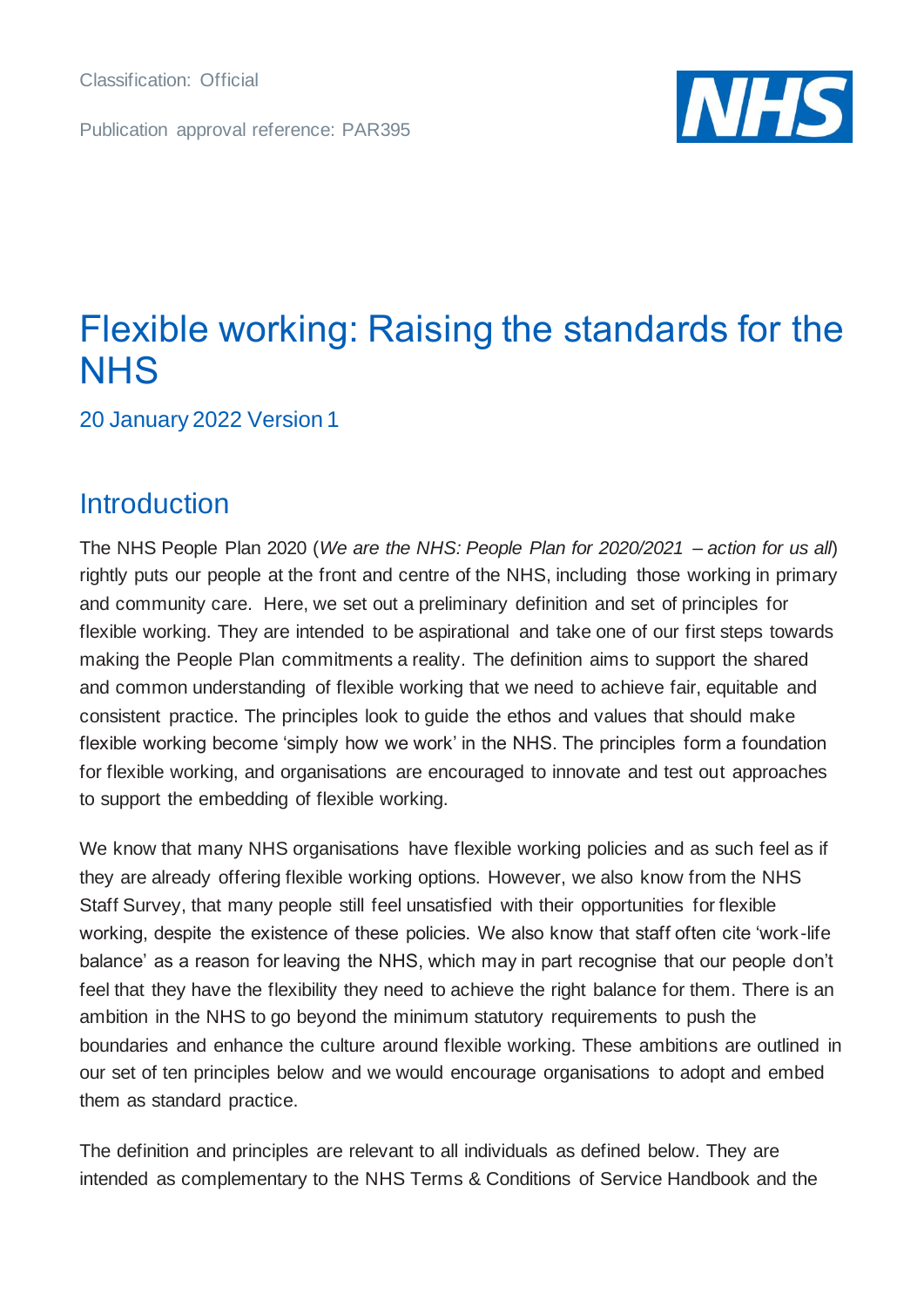Classification: Official

Publication approval reference: PAR395



# Flexible working: Raising the standards for the **NHS**

20 January 2022 Version 1

## **Introduction**

The NHS People Plan 2020 (*We are the NHS: People Plan for 2020/2021 – action for us all*) rightly puts our people at the front and centre of the NHS, including those working in primary and community care. Here, we set out a preliminary definition and set of principles for flexible working. They are intended to be aspirational and take one of our first steps towards making the People Plan commitments a reality. The definition aims to support the shared and common understanding of flexible working that we need to achieve fair, equitable and consistent practice. The principles look to guide the ethos and values that should make flexible working become 'simply how we work' in the NHS. The principles form a foundation for flexible working, and organisations are encouraged to innovate and test out approaches to support the embedding of flexible working.

We know that many NHS organisations have flexible working policies and as such feel as if they are already offering flexible working options. However, we also know from the NHS Staff Survey, that many people still feel unsatisfied with their opportunities for flexible working, despite the existence of these policies. We also know that staff often cite 'work-life balance' as a reason for leaving the NHS, which may in part recognise that our people don't feel that they have the flexibility they need to achieve the right balance for them. There is an ambition in the NHS to go beyond the minimum statutory requirements to push the boundaries and enhance the culture around flexible working. These ambitions are outlined in our set of ten principles below and we would encourage organisations to adopt and embed them as standard practice.

The definition and principles are relevant to all individuals as defined below. They are intended as complementary to the NHS Terms & Conditions of Service Handbook and the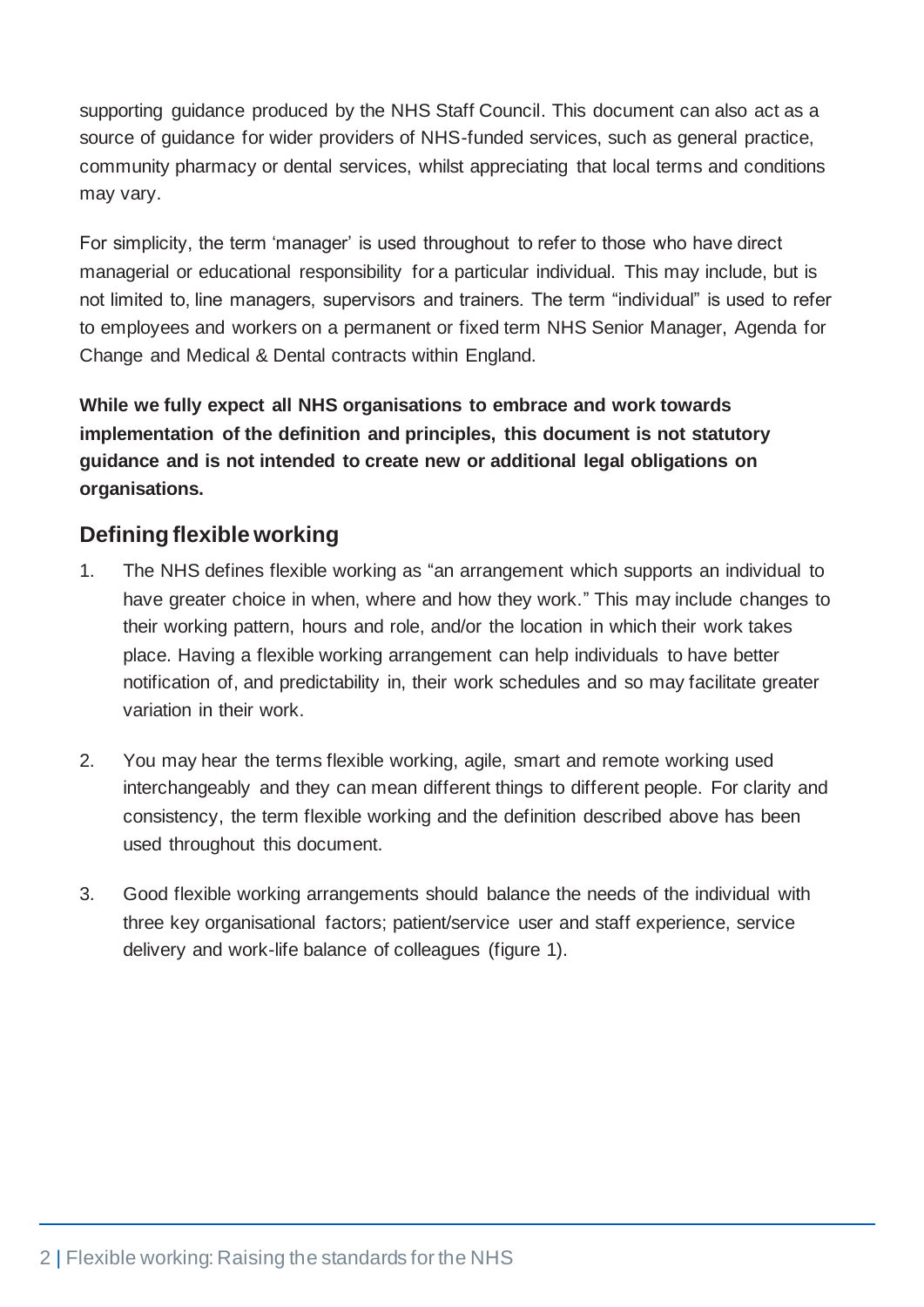supporting guidance produced by the NHS Staff Council. This document can also act as a source of guidance for wider providers of NHS-funded services, such as general practice, community pharmacy or dental services, whilst appreciating that local terms and conditions may vary.

For simplicity, the term 'manager' is used throughout to refer to those who have direct managerial or educational responsibility for a particular individual. This may include, but is not limited to, line managers, supervisors and trainers. The term "individual" is used to refer to employees and workers on a permanent or fixed term NHS Senior Manager, Agenda for Change and Medical & Dental contracts within England.

**While we fully expect all NHS organisations to embrace and work towards implementation of the definition and principles, this document is not statutory guidance and is not intended to create new or additional legal obligations on organisations.**

## **Defining flexible working**

- 1. The NHS defines flexible working as "an arrangement which supports an individual to have greater choice in when, where and how they work." This may include changes to their working pattern, hours and role, and/or the location in which their work takes place. Having a flexible working arrangement can help individuals to have better notification of, and predictability in, their work schedules and so may facilitate greater variation in their work.
- 2. You may hear the terms flexible working, agile, smart and remote working used interchangeably and they can mean different things to different people. For clarity and consistency, the term flexible working and the definition described above has been used throughout this document.
- 3. Good flexible working arrangements should balance the needs of the individual with three key organisational factors; patient/service user and staff experience, service delivery and work-life balance of colleagues (figure 1).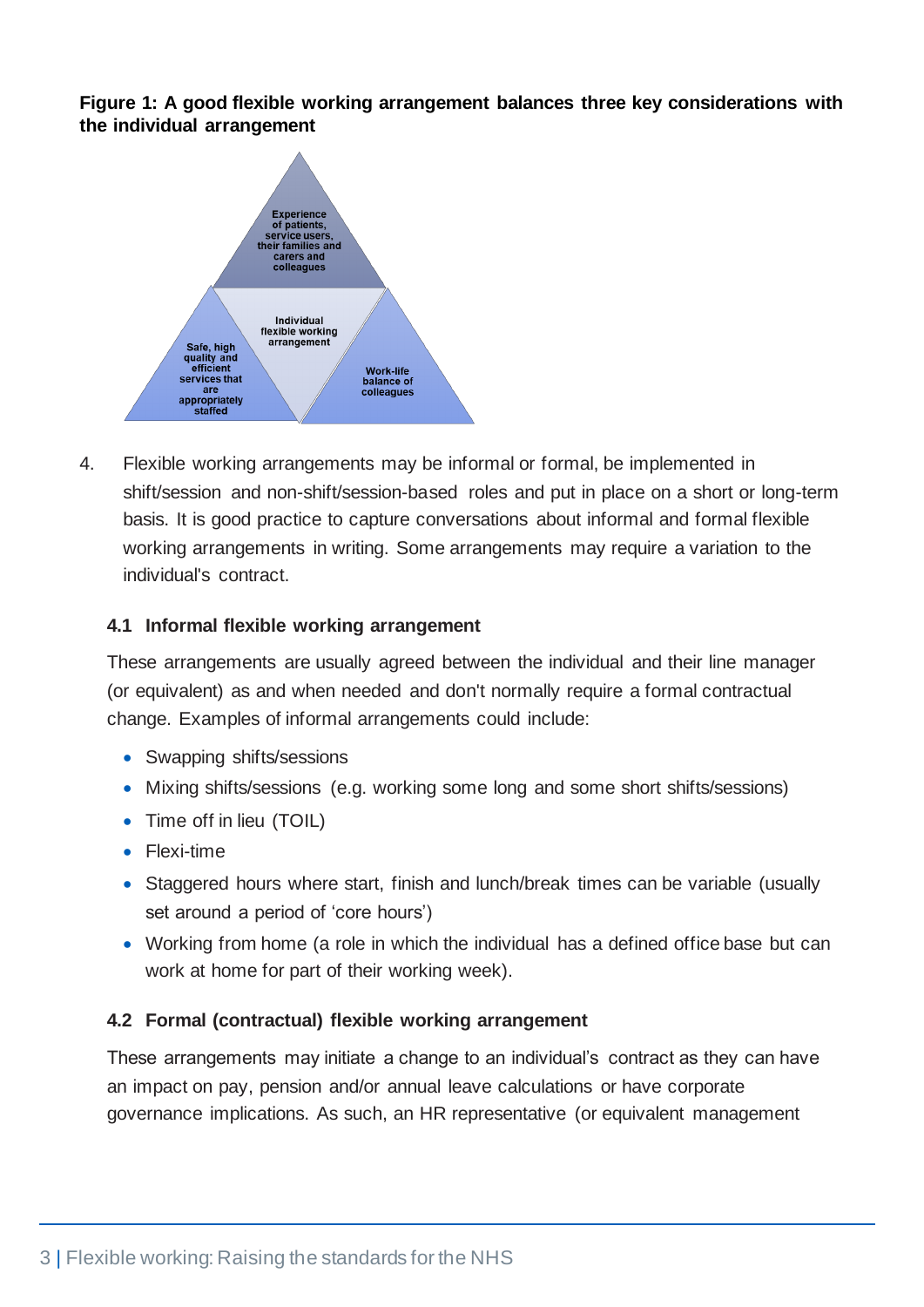**Figure 1: A good flexible working arrangement balances three key considerations with the individual arrangement**



4. Flexible working arrangements may be informal or formal, be implemented in shift/session and non-shift/session-based roles and put in place on a short or long-term basis. It is good practice to capture conversations about informal and formal flexible working arrangements in writing. Some arrangements may require a variation to the individual's contract.

#### **4.1 Informal flexible working arrangement**

These arrangements are usually agreed between the individual and their line manager (or equivalent) as and when needed and don't normally require a formal contractual change. Examples of informal arrangements could include:

- Swapping shifts/sessions
- Mixing shifts/sessions (e.g. working some long and some short shifts/sessions)
- Time off in lieu (TOIL)
- Flexi-time
- Staggered hours where start, finish and lunch/break times can be variable (usually set around a period of 'core hours')
- Working from home (a role in which the individual has a defined office base but can work at home for part of their working week).

#### **4.2 Formal (contractual) flexible working arrangement**

These arrangements may initiate a change to an individual's contract as they can have an impact on pay, pension and/or annual leave calculations or have corporate governance implications. As such, an HR representative (or equivalent management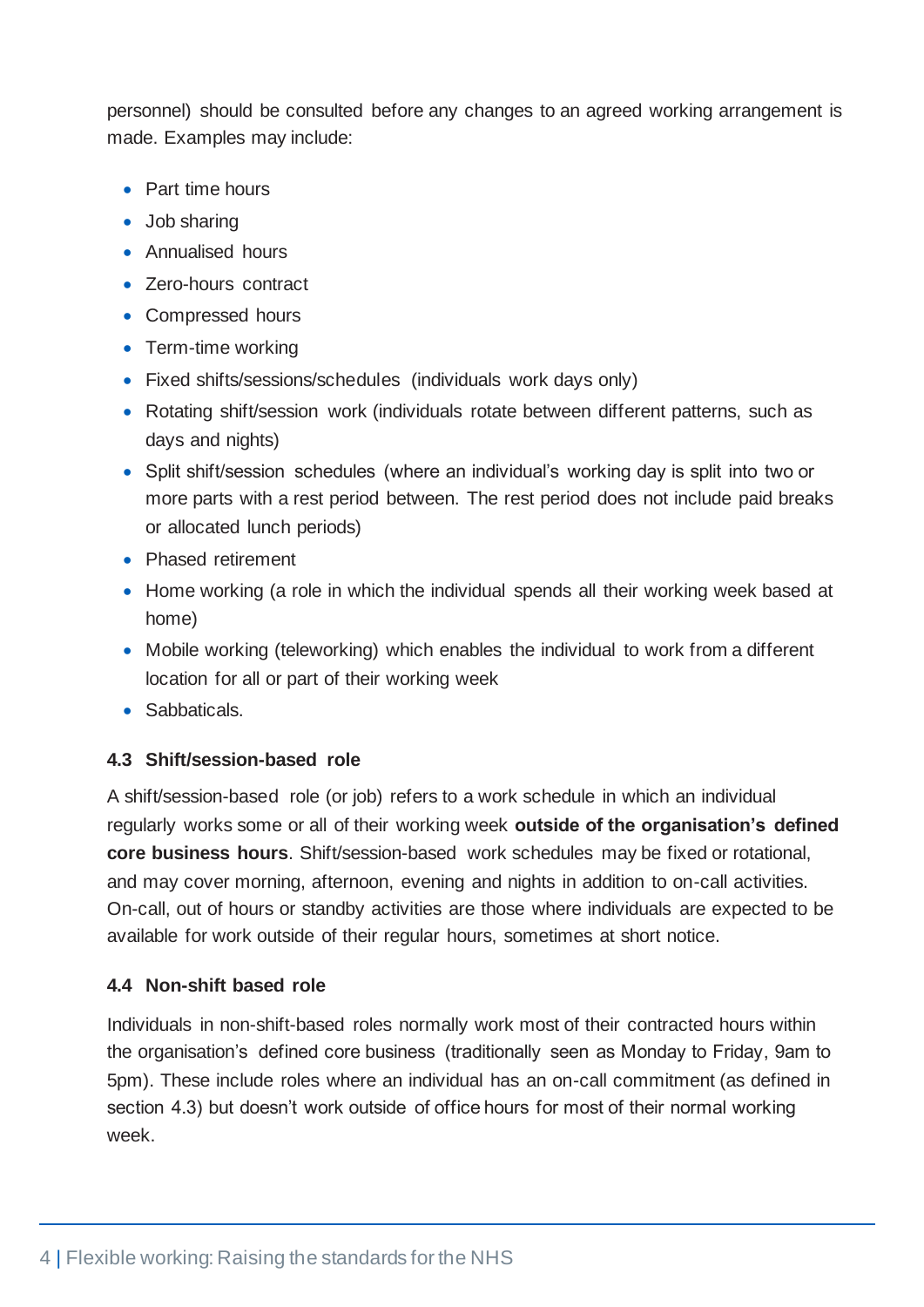personnel) should be consulted before any changes to an agreed working arrangement is made. Examples may include:

- Part time hours
- Job sharing
- Annualised hours
- Zero-hours contract
- Compressed hours
- Term-time working
- Fixed shifts/sessions/schedules (individuals work days only)
- Rotating shift/session work (individuals rotate between different patterns, such as days and nights)
- Split shift/session schedules (where an individual's working day is split into two or more parts with a rest period between. The rest period does not include paid breaks or allocated lunch periods)
- Phased retirement
- Home working (a role in which the individual spends all their working week based at home)
- Mobile working (teleworking) which enables the individual to work from a different location for all or part of their working week
- Sabbaticals.

#### **4.3 Shift/session-based role**

A shift/session-based role (or job) refers to a work schedule in which an individual regularly works some or all of their working week **outside of the organisation's defined core business hours**. Shift/session-based work schedules may be fixed or rotational, and may cover morning, afternoon, evening and nights in addition to on-call activities. On-call, out of hours or standby activities are those where individuals are expected to be available for work outside of their regular hours, sometimes at short notice.

#### **4.4 Non-shift based role**

Individuals in non-shift-based roles normally work most of their contracted hours within the organisation's defined core business (traditionally seen as Monday to Friday, 9am to 5pm). These include roles where an individual has an on-call commitment (as defined in section 4.3) but doesn't work outside of office hours for most of their normal working week.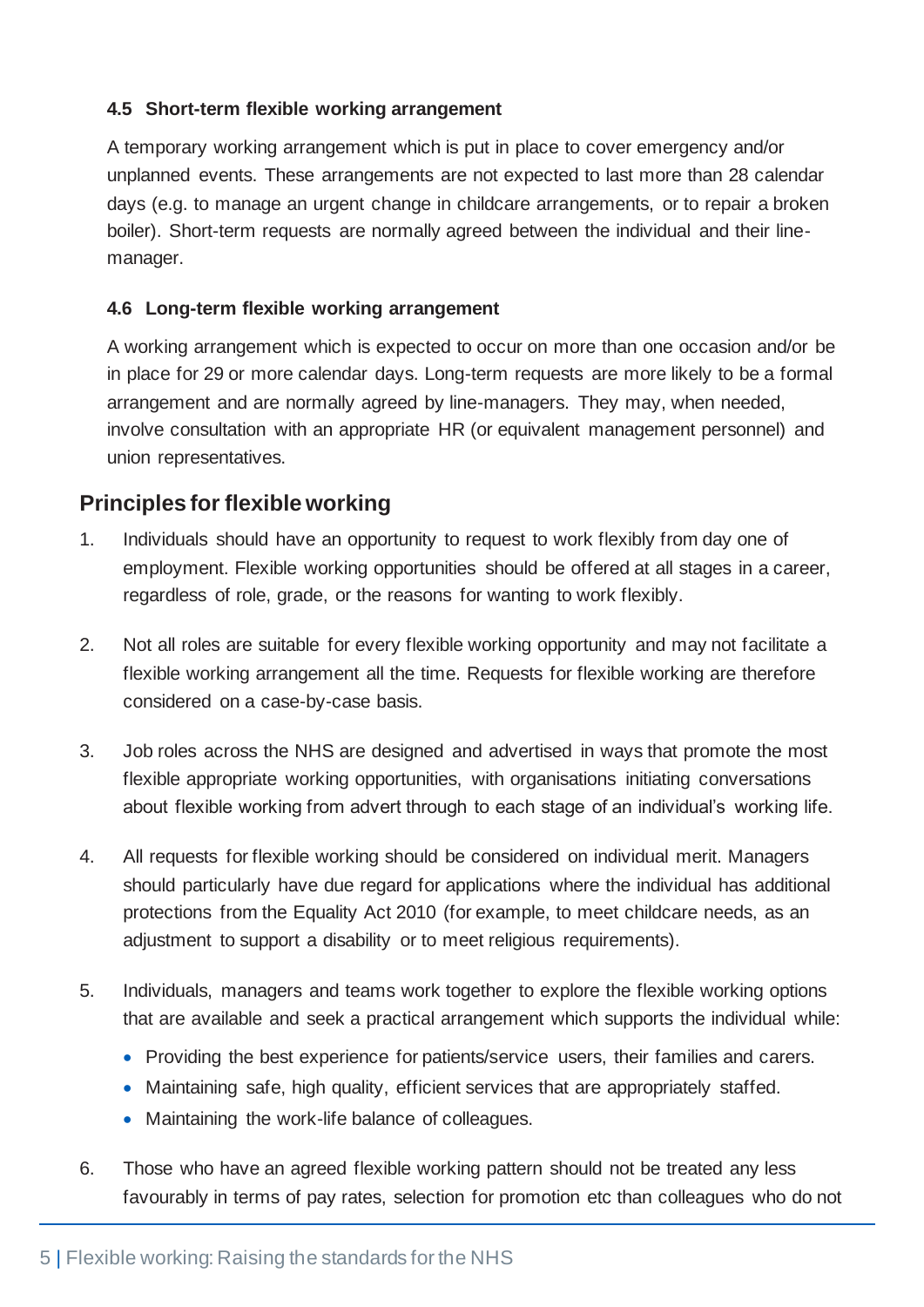#### **4.5 Short-term flexible working arrangement**

A temporary working arrangement which is put in place to cover emergency and/or unplanned events. These arrangements are not expected to last more than 28 calendar days (e.g. to manage an urgent change in childcare arrangements, or to repair a broken boiler). Short-term requests are normally agreed between the individual and their linemanager.

#### **4.6 Long-term flexible working arrangement**

A working arrangement which is expected to occur on more than one occasion and/or be in place for 29 or more calendar days. Long-term requests are more likely to be a formal arrangement and are normally agreed by line-managers. They may, when needed, involve consultation with an appropriate HR (or equivalent management personnel) and union representatives.

## **Principles for flexible working**

- 1. Individuals should have an opportunity to request to work flexibly from day one of employment. Flexible working opportunities should be offered at all stages in a career, regardless of role, grade, or the reasons for wanting to work flexibly.
- 2. Not all roles are suitable for every flexible working opportunity and may not facilitate a flexible working arrangement all the time. Requests for flexible working are therefore considered on a case-by-case basis.
- 3. Job roles across the NHS are designed and advertised in ways that promote the most flexible appropriate working opportunities, with organisations initiating conversations about flexible working from advert through to each stage of an individual's working life.
- 4. All requests for flexible working should be considered on individual merit. Managers should particularly have due regard for applications where the individual has additional protections from the Equality Act 2010 (for example, to meet childcare needs, as an adjustment to support a disability or to meet religious requirements).
- 5. Individuals, managers and teams work together to explore the flexible working options that are available and seek a practical arrangement which supports the individual while:
	- Providing the best experience for patients/service users, their families and carers.
	- Maintaining safe, high quality, efficient services that are appropriately staffed.
	- Maintaining the work-life balance of colleagues.
- 6. Those who have an agreed flexible working pattern should not be treated any less favourably in terms of pay rates, selection for promotion etc than colleagues who do not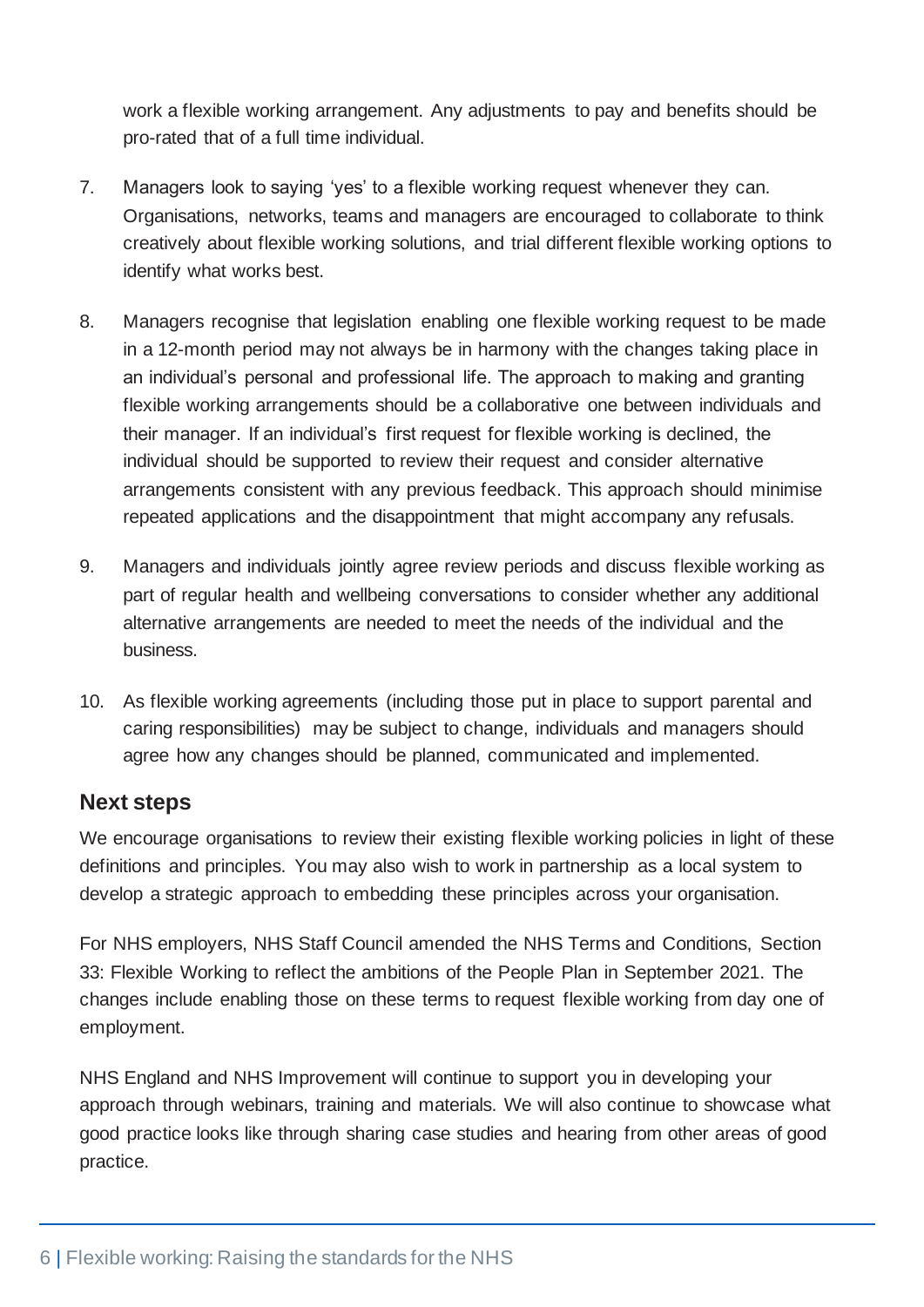work a flexible working arrangement. Any adjustments to pay and benefits should be pro-rated that of a full time individual.

- 7. Managers look to saying 'yes' to a flexible working request whenever they can. Organisations, networks, teams and managers are encouraged to collaborate to think creatively about flexible working solutions, and trial different flexible working options to identify what works best.
- 8. Managers recognise that legislation enabling one flexible working request to be made in a 12-month period may not always be in harmony with the changes taking place in an individual's personal and professional life. The approach to making and granting flexible working arrangements should be a collaborative one between individuals and their manager. If an individual's first request for flexible working is declined, the individual should be supported to review their request and consider alternative arrangements consistent with any previous feedback. This approach should minimise repeated applications and the disappointment that might accompany any refusals.
- 9. Managers and individuals jointly agree review periods and discuss flexible working as part of regular health and wellbeing conversations to consider whether any additional alternative arrangements are needed to meet the needs of the individual and the business.
- 10. As flexible working agreements (including those put in place to support parental and caring responsibilities) may be subject to change, individuals and managers should agree how any changes should be planned, communicated and implemented.

## **Next steps**

We encourage organisations to review their existing flexible working policies in light of these definitions and principles. You may also wish to work in partnership as a local system to develop a strategic approach to embedding these principles across your organisation.

For NHS employers, NHS Staff Council amended the NHS Terms and Conditions, Section 33: Flexible Working to reflect the ambitions of the People Plan in September 2021. The changes include enabling those on these terms to request flexible working from day one of employment.

NHS England and NHS Improvement will continue to support you in developing your approach through webinars, training and materials. We will also continue to showcase what good practice looks like through sharing case studies and hearing from other areas of good practice.